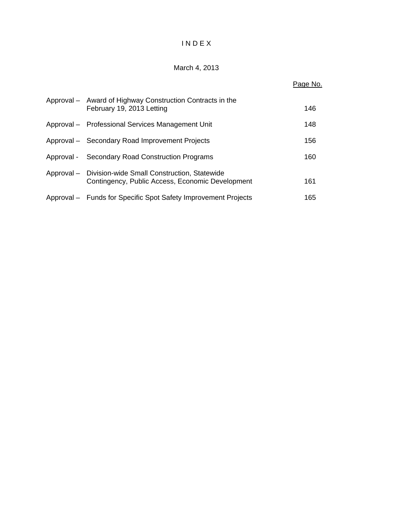# I N D E X

# March 4, 2013

|                                                                                                            | Page No. |
|------------------------------------------------------------------------------------------------------------|----------|
| Approval - Award of Highway Construction Contracts in the<br>February 19, 2013 Letting                     | 146      |
| Approval - Professional Services Management Unit                                                           | 148      |
| Approval - Secondary Road Improvement Projects                                                             | 156      |
| Approval - Secondary Road Construction Programs                                                            | 160      |
| Approval - Division-wide Small Construction, Statewide<br>Contingency, Public Access, Economic Development | 161      |
| Approval – Funds for Specific Spot Safety Improvement Projects                                             | 165      |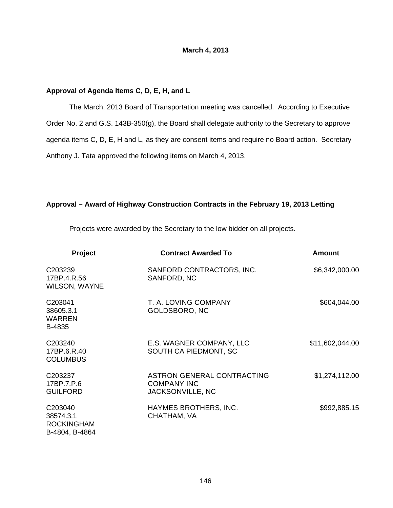# **March 4, 2013**

### **Approval of Agenda Items C, D, E, H, and L**

 The March, 2013 Board of Transportation meeting was cancelled. According to Executive Order No. 2 and G.S. 143B-350(g), the Board shall delegate authority to the Secretary to approve agenda items C, D, E, H and L, as they are consent items and require no Board action. Secretary Anthony J. Tata approved the following items on March 4, 2013.

# **Approval – Award of Highway Construction Contracts in the February 19, 2013 Letting**

Projects were awarded by the Secretary to the low bidder on all projects.

| <b>Project</b>                                              | <b>Contract Awarded To</b>                                           | <b>Amount</b>   |
|-------------------------------------------------------------|----------------------------------------------------------------------|-----------------|
| C203239<br>17BP.4.R.56<br><b>WILSON, WAYNE</b>              | SANFORD CONTRACTORS, INC.<br>SANFORD, NC                             | \$6,342,000.00  |
| C203041<br>38605.3.1<br><b>WARREN</b><br>B-4835             | T. A. LOVING COMPANY<br>GOLDSBORO, NC                                | \$604,044.00    |
| C <sub>203240</sub><br>17BP.6.R.40<br><b>COLUMBUS</b>       | E.S. WAGNER COMPANY, LLC<br>SOUTH CA PIEDMONT, SC                    | \$11,602,044.00 |
| C <sub>203237</sub><br>17BP.7.P.6<br><b>GUILFORD</b>        | ASTRON GENERAL CONTRACTING<br><b>COMPANY INC</b><br>JACKSONVILLE, NC | \$1,274,112.00  |
| C203040<br>38574.3.1<br><b>ROCKINGHAM</b><br>B-4804, B-4864 | HAYMES BROTHERS, INC.<br>CHATHAM, VA                                 | \$992,885.15    |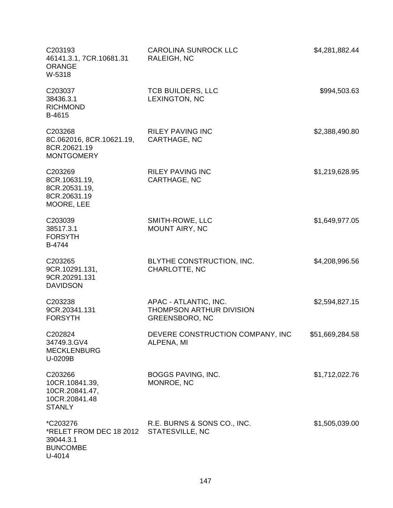| C203193<br>46141.3.1, 7CR.10681.31<br><b>ORANGE</b><br>W-5318                        | <b>CAROLINA SUNROCK LLC</b><br>RALEIGH, NC                                 | \$4,281,882.44  |
|--------------------------------------------------------------------------------------|----------------------------------------------------------------------------|-----------------|
| C203037<br>38436.3.1<br><b>RICHMOND</b><br>B-4615                                    | <b>TCB BUILDERS, LLC</b><br>LEXINGTON, NC                                  | \$994,503.63    |
| C203268<br>8C.062016, 8CR.10621.19,<br>8CR.20621.19<br><b>MONTGOMERY</b>             | <b>RILEY PAVING INC</b><br>CARTHAGE, NC                                    | \$2,388,490.80  |
| C203269<br>8CR.10631.19,<br>8CR.20531.19,<br>8CR.20631.19<br>MOORE, LEE              | <b>RILEY PAVING INC</b><br>CARTHAGE, NC                                    | \$1,219,628.95  |
| C203039<br>38517.3.1<br><b>FORSYTH</b><br>B-4744                                     | SMITH-ROWE, LLC<br><b>MOUNT AIRY, NC</b>                                   | \$1,649,977.05  |
| C203265<br>9CR.10291.131,<br>9CR.20291.131<br><b>DAVIDSON</b>                        | BLYTHE CONSTRUCTION, INC.<br>CHARLOTTE, NC                                 | \$4,208,996.56  |
| C203238<br>9CR.20341.131<br><b>FORSYTH</b>                                           | APAC - ATLANTIC, INC.<br>THOMPSON ARTHUR DIVISION<br><b>GREENSBORO, NC</b> | \$2,594,827.15  |
| C202824<br>34749.3.GV4<br><b>MECKLENBURG</b><br>U-0209B                              | DEVERE CONSTRUCTION COMPANY, INC<br>ALPENA, MI                             | \$51,669,284.58 |
| C203266<br>10CR.10841.39,<br>10CR.20841.47,<br>10CR.20841.48<br><b>STANLY</b>        | BOGGS PAVING, INC.<br>MONROE, NC                                           | \$1,712,022.76  |
| <i>*C203276</i><br>*RELET FROM DEC 18 2012<br>39044.3.1<br><b>BUNCOMBE</b><br>U-4014 | R.E. BURNS & SONS CO., INC.<br>STATESVILLE, NC                             | \$1,505,039.00  |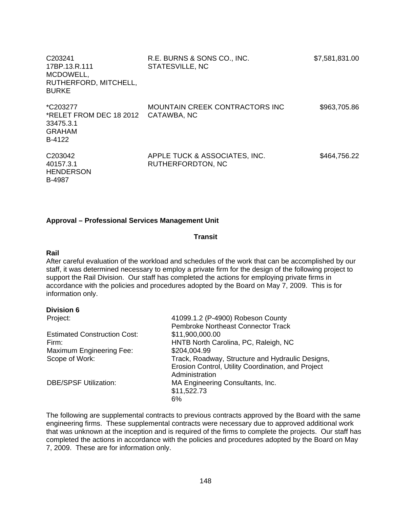| C <sub>203241</sub><br>17BP.13.R.111<br>MCDOWELL,<br>RUTHERFORD, MITCHELL,<br><b>BURKE</b> | R.E. BURNS & SONS CO., INC.<br>STATESVILLE, NC     | \$7,581,831.00 |
|--------------------------------------------------------------------------------------------|----------------------------------------------------|----------------|
| *C203277<br>*RELET FROM DEC 18 2012<br>33475.3.1<br><b>GRAHAM</b><br>B-4122                | MOUNTAIN CREEK CONTRACTORS INC<br>CATAWBA, NC      | \$963,705.86   |
| C <sub>203042</sub><br>40157.3.1<br><b>HENDERSON</b><br><b>B-4987</b>                      | APPLE TUCK & ASSOCIATES, INC.<br>RUTHERFORDTON, NC | \$464,756.22   |

# **Approval – Professional Services Management Unit**

#### **Transit**

#### **Rail**

After careful evaluation of the workload and schedules of the work that can be accomplished by our staff, it was determined necessary to employ a private firm for the design of the following project to support the Rail Division. Our staff has completed the actions for employing private firms in accordance with the policies and procedures adopted by the Board on May 7, 2009. This is for information only.

#### **Division 6**

| Project:                            | 41099.1.2 (P-4900) Robeson County                  |
|-------------------------------------|----------------------------------------------------|
|                                     | <b>Pembroke Northeast Connector Track</b>          |
| <b>Estimated Construction Cost:</b> | \$11,900,000.00                                    |
| Firm:                               | HNTB North Carolina, PC, Raleigh, NC               |
| Maximum Engineering Fee:            | \$204,004.99                                       |
| Scope of Work:                      | Track, Roadway, Structure and Hydraulic Designs,   |
|                                     | Erosion Control, Utility Coordination, and Project |
|                                     | Administration                                     |
| <b>DBE/SPSF Utilization:</b>        | MA Engineering Consultants, Inc.                   |
|                                     | \$11,522.73                                        |
|                                     | 6%                                                 |

The following are supplemental contracts to previous contracts approved by the Board with the same engineering firms. These supplemental contracts were necessary due to approved additional work that was unknown at the inception and is required of the firms to complete the projects. Our staff has completed the actions in accordance with the policies and procedures adopted by the Board on May 7, 2009. These are for information only.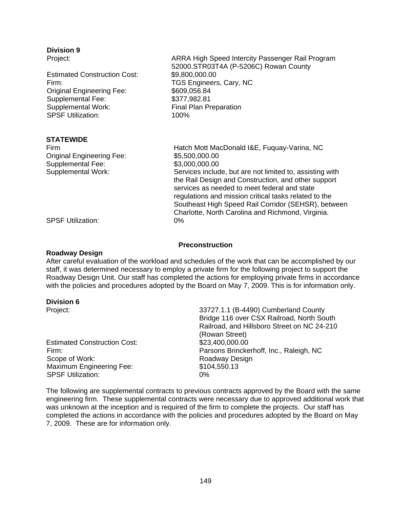# **Division 9**

| Project:                            | ARRA High Speed Intercity Passenger Rail Program         |  |
|-------------------------------------|----------------------------------------------------------|--|
|                                     | 52000.STR03T4A (P-5206C) Rowan County                    |  |
| <b>Estimated Construction Cost:</b> | \$9,800,000.00                                           |  |
| Firm:                               | TGS Engineers, Cary, NC                                  |  |
| <b>Original Engineering Fee:</b>    | \$609,056.84                                             |  |
| Supplemental Fee:                   | \$377,982.81                                             |  |
| <b>Supplemental Work:</b>           | <b>Final Plan Preparation</b>                            |  |
| <b>SPSF Utilization:</b>            | 100%                                                     |  |
| <b>STATEWIDE</b>                    |                                                          |  |
| Firm                                | Hatch Mott MacDonald I&E, Fuquay-Varina, NC              |  |
| <b>Original Engineering Fee:</b>    | \$5,500,000.00                                           |  |
| Supplemental Fee:                   | \$3,000,000.00                                           |  |
| Supplemental Work:                  | Services include, but are not limited to, assisting with |  |
|                                     | the Rail Design and Construction, and other support      |  |
|                                     | services as needed to meet federal and state             |  |
|                                     | regulations and mission critical tasks related to the    |  |
|                                     | Southeast High Speed Rail Corridor (SEHSR), between      |  |

SPSF Utilization: 0%

#### **Preconstruction**

Charlotte, North Carolina and Richmond, Virginia.

#### **Roadway Design**

After careful evaluation of the workload and schedules of the work that can be accomplished by our staff, it was determined necessary to employ a private firm for the following project to support the Roadway Design Unit. Our staff has completed the actions for employing private firms in accordance with the policies and procedures adopted by the Board on May 7, 2009. This is for information only.

#### **Division 6**

| Project:                            | 33727.1.1 (B-4490) Cumberland County        |
|-------------------------------------|---------------------------------------------|
|                                     | Bridge 116 over CSX Railroad, North South   |
|                                     | Railroad, and Hillsboro Street on NC 24-210 |
|                                     | (Rowan Street)                              |
| <b>Estimated Construction Cost:</b> | \$23,400,000.00                             |
| Firm:                               | Parsons Brinckerhoff, Inc., Raleigh, NC     |
| Scope of Work:                      | Roadway Design                              |
| <b>Maximum Engineering Fee:</b>     | \$104,550.13                                |
| <b>SPSF Utilization:</b>            | $0\%$                                       |
|                                     |                                             |

The following are supplemental contracts to previous contracts approved by the Board with the same engineering firm. These supplemental contracts were necessary due to approved additional work that was unknown at the inception and is required of the firm to complete the projects. Our staff has completed the actions in accordance with the policies and procedures adopted by the Board on May 7, 2009. These are for information only.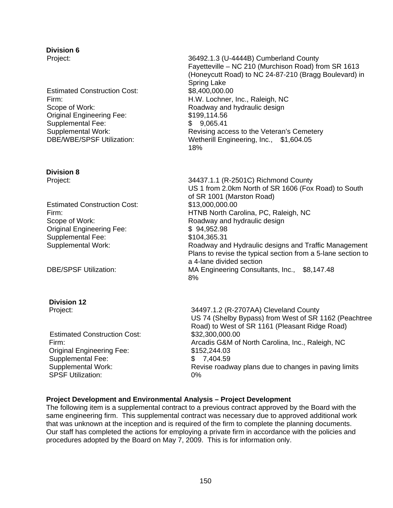# **Division 6**

Estimated Construction Cost: \$8,400,000.00 Original Engineering Fee: Supplemental Fee: Supplemental Work:

# **Division 8**

Estimated Construction Cost: \$13,000,000.00 Original Engineering Fee: Supplemental Fee: Supplemental Work:

# **Division 12**

Estimated Construction Cost: \$32,300,000.00 Original Engineering Fee: \$152,244.03 Supplemental Fee: \$ 7,404.59 SPSF Utilization: 0%

Project: 36492.1.3 (U-4444B) Cumberland County Fayetteville – NC 210 (Murchison Road) from SR 1613 (Honeycutt Road) to NC 24-87-210 (Bragg Boulevard) in Spring Lake Firm: H.W. Lochner, Inc., Raleigh, NC Scope of Work: Scope of Work: Roadway and hydraulic design \$199,114.56 \$ 9,065.41 Revising access to the Veteran's Cemetery DBE/WBE/SPSF Utilization: Wetherill Engineering, Inc., \$1,604.05  $18\%$ 

Project: 34437.1.1 (R-2501C) Richmond County US 1 from 2.0km North of SR 1606 (Fox Road) to South of SR 1001 (Marston Road) Firm: HTNB North Carolina, PC, Raleigh, NC Scope of Work: Scope of Work: Roadway and hydraulic design \$ 94,952.98 \$104,365.31 Roadway and Hydraulic designs and Traffic Management Plans to revise the typical section from a 5-lane section to a 4-lane divided section DBE/SPSF Utilization: MA Engineering Consultants, Inc., \$8,147.48  $8\%$ 

Project: 34497.1.2 (R-2707AA) Cleveland County US 74 (Shelby Bypass) from West of SR 1162 (Peachtree Road) to West of SR 1161 (Pleasant Ridge Road) Firm: Arcadis G&M of North Carolina, Inc., Raleigh, NC Supplemental Work: Revise roadway plans due to changes in paving limits

# **Project Development and Environmental Analysis – Project Development**

The following item is a supplemental contract to a previous contract approved by the Board with the same engineering firm. This supplemental contract was necessary due to approved additional work that was unknown at the inception and is required of the firm to complete the planning documents. Our staff has completed the actions for employing a private firm in accordance with the policies and procedures adopted by the Board on May 7, 2009. This is for information only.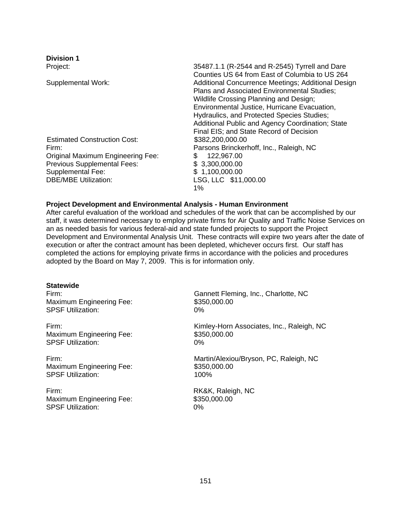| <b>Division 1</b>                                                                                                                                                                  |                                                                                                                                                                                                                                                                                                                                                 |
|------------------------------------------------------------------------------------------------------------------------------------------------------------------------------------|-------------------------------------------------------------------------------------------------------------------------------------------------------------------------------------------------------------------------------------------------------------------------------------------------------------------------------------------------|
| Project:                                                                                                                                                                           | 35487.1.1 (R-2544 and R-2545) Tyrrell and Dare                                                                                                                                                                                                                                                                                                  |
| Supplemental Work:                                                                                                                                                                 | Counties US 64 from East of Columbia to US 264<br>Additional Concurrence Meetings; Additional Design<br>Plans and Associated Environmental Studies;<br>Wildlife Crossing Planning and Design;<br>Environmental Justice, Hurricane Evacuation,<br>Hydraulics, and Protected Species Studies;<br>Additional Public and Agency Coordination; State |
| <b>Estimated Construction Cost:</b><br>Firm:<br>Original Maximum Engineering Fee:<br><b>Previous Supplemental Fees:</b><br><b>Supplemental Fee:</b><br><b>DBE/MBE Utilization:</b> | Final EIS; and State Record of Decision<br>\$382,200,000.00<br>Parsons Brinckerhoff, Inc., Raleigh, NC<br>\$<br>122,967.00<br>\$3,300,000.00<br>\$1,100,000.00<br>LSG, LLC \$11,000.00<br>1%                                                                                                                                                    |

#### **Project Development and Environmental Analysis - Human Environment**

After careful evaluation of the workload and schedules of the work that can be accomplished by our staff, it was determined necessary to employ private firms for Air Quality and Traffic Noise Services on an as needed basis for various federal-aid and state funded projects to support the Project Development and Environmental Analysis Unit. These contracts will expire two years after the date of execution or after the contract amount has been depleted, whichever occurs first. Our staff has completed the actions for employing private firms in accordance with the policies and procedures adopted by the Board on May 7, 2009. This is for information only.

# **Statewide**

Maximum Engineering Fee: \$350,000.00 SPSF Utilization: 0%

Maximum Engineering Fee: \$350,000.00 SPSF Utilization: 0%

Maximum Engineering Fee: \$350,000.00 SPSF Utilization: 100%

Firm: RK&K, Raleigh, NC Maximum Engineering Fee: \$350,000.00 SPSF Utilization: 0%

Firm: Gannett Fleming, Inc., Charlotte, NC

Firm: Kimley-Horn Associates, Inc., Raleigh, NC

Firm: Martin/Alexiou/Bryson, PC, Raleigh, NC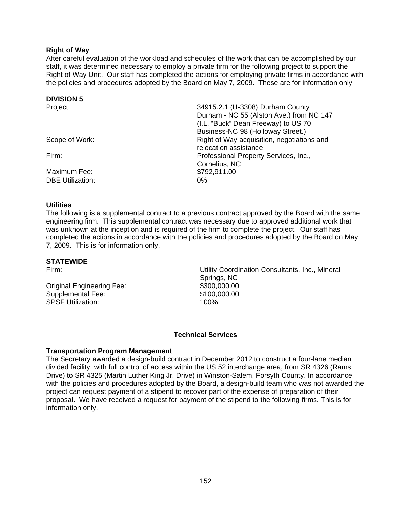# **Right of Way**

After careful evaluation of the workload and schedules of the work that can be accomplished by our staff, it was determined necessary to employ a private firm for the following project to support the Right of Way Unit. Our staff has completed the actions for employing private firms in accordance with the policies and procedures adopted by the Board on May 7, 2009. These are for information only

### **DIVISION 5**

| Project:                | 34915.2.1 (U-3308) Durham County           |
|-------------------------|--------------------------------------------|
|                         | Durham - NC 55 (Alston Ave.) from NC 147   |
|                         | (I.L. "Buck" Dean Freeway) to US 70        |
|                         | Business-NC 98 (Holloway Street.)          |
| Scope of Work:          | Right of Way acquisition, negotiations and |
|                         | relocation assistance                      |
| Firm:                   | Professional Property Services, Inc.,      |
|                         | Cornelius, NC                              |
| Maximum Fee:            | \$792,911.00                               |
| <b>DBE Utilization:</b> | $0\%$                                      |

#### **Utilities**

The following is a supplemental contract to a previous contract approved by the Board with the same engineering firm. This supplemental contract was necessary due to approved additional work that was unknown at the inception and is required of the firm to complete the project. Our staff has completed the actions in accordance with the policies and procedures adopted by the Board on May 7, 2009. This is for information only.

#### **STATEWIDE**

Original Engineering Fee: \$300,000.00<br>Supplemental Fee: \$100,000.00 Supplemental Fee: SPSF Utilization: 100%

Firm: Utility Coordination Consultants, Inc., Mineral Springs, NC

#### **Technical Services**

#### **Transportation Program Management**

The Secretary awarded a design-build contract in December 2012 to construct a four-lane median divided facility, with full control of access within the US 52 interchange area, from SR 4326 (Rams Drive) to SR 4325 (Martin Luther King Jr. Drive) in Winston-Salem, Forsyth County. In accordance with the policies and procedures adopted by the Board, a design-build team who was not awarded the project can request payment of a stipend to recover part of the expense of preparation of their proposal. We have received a request for payment of the stipend to the following firms. This is for information only.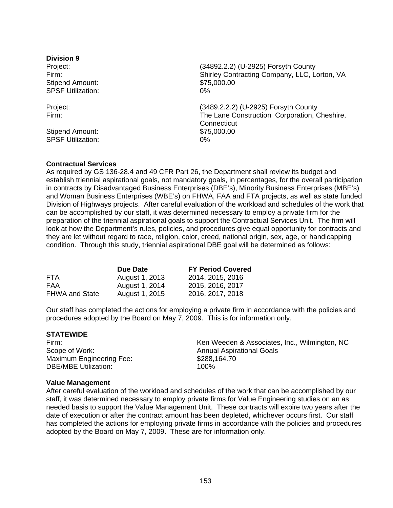**Division 9**  Stipend Amount:  $$75,000.00$ SPSF Utilization: 0%

Stipend Amount:  $$75,000.00$ SPSF Utilization: 0%

Project: (34892.2.2) (U-2925) Forsyth County Firm: Shirley Contracting Company, LLC, Lorton, VA

Project: (3489.2.2.2) (U-2925) Forsyth County Firm: The Lane Construction Corporation, Cheshire, **Connecticut** 

# **Contractual Services**

As required by GS 136-28.4 and 49 CFR Part 26, the Department shall review its budget and establish triennial aspirational goals, not mandatory goals, in percentages, for the overall participation in contracts by Disadvantaged Business Enterprises (DBE's), Minority Business Enterprises (MBE's) and Woman Business Enterprises (WBE's) on FHWA, FAA and FTA projects, as well as state funded Division of Highways projects. After careful evaluation of the workload and schedules of the work that can be accomplished by our staff, it was determined necessary to employ a private firm for the preparation of the triennial aspirational goals to support the Contractual Services Unit. The firm will look at how the Department's rules, policies, and procedures give equal opportunity for contracts and they are let without regard to race, religion, color, creed, national origin, sex, age, or handicapping condition. Through this study, triennial aspirational DBE goal will be determined as follows:

|                       | Due Date       | <b>FY Period Covered</b> |
|-----------------------|----------------|--------------------------|
| <b>FTA</b>            | August 1, 2013 | 2014, 2015, 2016         |
| FAA                   | August 1, 2014 | 2015, 2016, 2017         |
| <b>FHWA and State</b> | August 1, 2015 | 2016, 2017, 2018         |

Our staff has completed the actions for employing a private firm in accordance with the policies and procedures adopted by the Board on May 7, 2009. This is for information only.

#### **STATEWIDE**

Firm: Scope of Work: Maximum Engineering Fee: \$288,164.70<br>DBE/MBE Utilization: \$100% 100% DBE/MBE Utilization:

Ken Weeden & Associates, Inc., Wilmington, NC Annual Aspirational Goals

#### **Value Management**

After careful evaluation of the workload and schedules of the work that can be accomplished by our staff, it was determined necessary to employ private firms for Value Engineering studies on an as needed basis to support the Value Management Unit. These contracts will expire two years after the date of execution or after the contract amount has been depleted, whichever occurs first. Our staff has completed the actions for employing private firms in accordance with the policies and procedures adopted by the Board on May 7, 2009. These are for information only.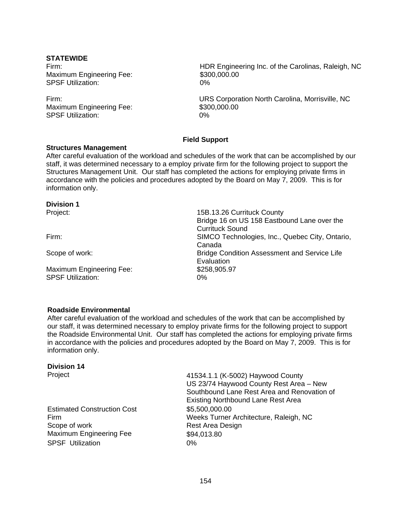### **STATEWIDE**

Maximum Engineering Fee: \$300,000.000 SPSF Utilization: 0%

Maximum Engineering Fee: \$300,000.000 SPSF Utilization: 0%

Firm: HDR Engineering Inc. of the Carolinas, Raleigh, NC

Firm: URS Corporation North Carolina, Morrisville, NC

# **Field Support**

#### **Structures Management**

After careful evaluation of the workload and schedules of the work that can be accomplished by our staff, it was determined necessary to a employ private firm for the following project to support the Structures Management Unit. Our staff has completed the actions for employing private firms in accordance with the policies and procedures adopted by the Board on May 7, 2009. This is for information only.

#### **Division 1**

Maximum Engineering Fee: \$258,905.97 SPSF Utilization: 0%

Project: 15B.13.26 Currituck County Bridge 16 on US 158 Eastbound Lane over the Currituck Sound Firm: SIMCO Technologies, Inc., Quebec City, Ontario, Canada Scope of work: Bridge Condition Assessment and Service Life **Evaluation** 

#### **Roadside Environmental**

After careful evaluation of the workload and schedules of the work that can be accomplished by our staff, it was determined necessary to employ private firms for the following project to support the Roadside Environmental Unit. Our staff has completed the actions for employing private firms in accordance with the policies and procedures adopted by the Board on May 7, 2009. This is for information only.

## **Division 14**

Estimated Construction Cost \$5,500,000.00 Scope of work **Rest Area Design** Maximum Engineering Fee \$94,013.80 SPSF Utilization 0%

Project 41534.1.1 (K-5002) Haywood County US 23/74 Haywood County Rest Area – New Southbound Lane Rest Area and Renovation of Existing Northbound Lane Rest Area Firm Weeks Turner Architecture, Raleigh, NC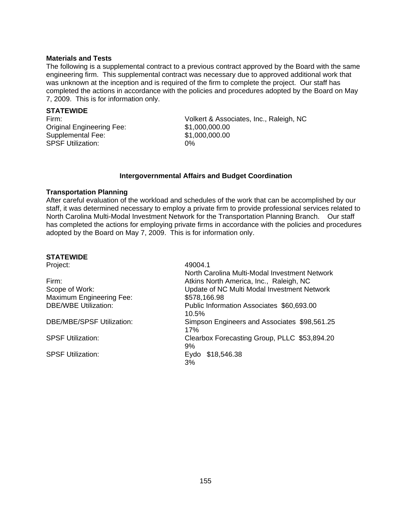#### **Materials and Tests**

The following is a supplemental contract to a previous contract approved by the Board with the same engineering firm. This supplemental contract was necessary due to approved additional work that was unknown at the inception and is required of the firm to complete the project. Our staff has completed the actions in accordance with the policies and procedures adopted by the Board on May 7, 2009. This is for information only.

# **STATEWIDE**

Original Engineering Fee: Supplemental Fee: SPSF Utilization: 0%

Firm: Volkert & Associates, Inc., Raleigh, NC \$1,000,000.00 \$1,000,000.00

# **Intergovernmental Affairs and Budget Coordination**

#### **Transportation Planning**

After careful evaluation of the workload and schedules of the work that can be accomplished by our staff, it was determined necessary to employ a private firm to provide professional services related to North Carolina Multi-Modal Investment Network for the Transportation Planning Branch. Our staff has completed the actions for employing private firms in accordance with the policies and procedures adopted by the Board on May 7, 2009. This is for information only.

# **STATEWIDE**

|                                  | North Carolina Multi-Modal Investment Network       |
|----------------------------------|-----------------------------------------------------|
| Firm:                            | Atkins North America, Inc., Raleigh, NC             |
| Scope of Work:                   | Update of NC Multi Modal Investment Network         |
| Maximum Engineering Fee:         | \$578,166.98                                        |
| <b>DBE/WBE Utilization:</b>      | Public Information Associates \$60,693.00<br>10.5%  |
| <b>DBE/MBE/SPSF Utilization:</b> | Simpson Engineers and Associates \$98,561.25<br>17% |
| <b>SPSF Utilization:</b>         | Clearbox Forecasting Group, PLLC \$53,894.20<br>9%  |
| <b>SPSF Utilization:</b>         | Eydo \$18,546.38<br>3%                              |

49004.1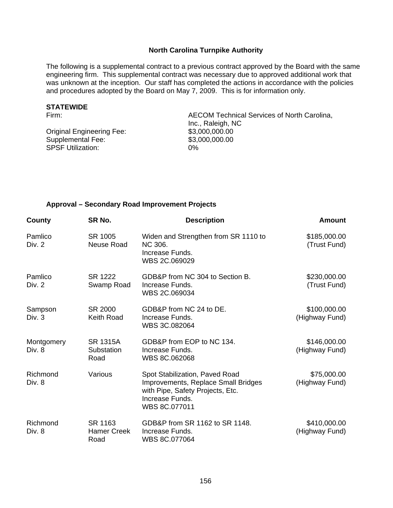# **North Carolina Turnpike Authority**

The following is a supplemental contract to a previous contract approved by the Board with the same engineering firm. This supplemental contract was necessary due to approved additional work that was unknown at the inception. Our staff has completed the actions in accordance with the policies and procedures adopted by the Board on May 7, 2009. This is for information only.

### **STATEWIDE**

Original Engineering Fee: Supplemental Fee: SPSF Utilization:

Firm: AECOM Technical Services of North Carolina, Inc., Raleigh, NC<br>\$3,000,000.00 \$3,000,000.00 0%

#### **Approval – Secondary Road Improvement Projects**

| County               | SR No.                                | <b>Description</b>                                                                                                                            | <b>Amount</b>                  |
|----------------------|---------------------------------------|-----------------------------------------------------------------------------------------------------------------------------------------------|--------------------------------|
| Pamlico<br>Div. 2    | SR 1005<br>Neuse Road                 | Widen and Strengthen from SR 1110 to<br>NC 306.<br>Increase Funds.<br>WBS 2C.069029                                                           | \$185,000.00<br>(Trust Fund)   |
| Pamlico<br>Div. 2    | SR 1222<br>Swamp Road                 | GDB&P from NC 304 to Section B.<br>Increase Funds.<br>WBS 2C.069034                                                                           | \$230,000.00<br>(Trust Fund)   |
| Sampson<br>Div. 3    | SR 2000<br>Keith Road                 | GDB&P from NC 24 to DE.<br>Increase Funds.<br>WBS 3C.082064                                                                                   | \$100,000.00<br>(Highway Fund) |
| Montgomery<br>Div. 8 | <b>SR 1315A</b><br>Substation<br>Road | GDB&P from EOP to NC 134.<br>Increase Funds.<br>WBS 8C.062068                                                                                 | \$146,000.00<br>(Highway Fund) |
| Richmond<br>Div. 8   | Various                               | Spot Stabilization, Paved Road<br>Improvements, Replace Small Bridges<br>with Pipe, Safety Projects, Etc.<br>Increase Funds.<br>WBS 8C.077011 | \$75,000.00<br>(Highway Fund)  |
| Richmond<br>Div. 8   | SR 1163<br><b>Hamer Creek</b><br>Road | GDB&P from SR 1162 to SR 1148.<br>Increase Funds.<br>WBS 8C.077064                                                                            | \$410,000.00<br>(Highway Fund) |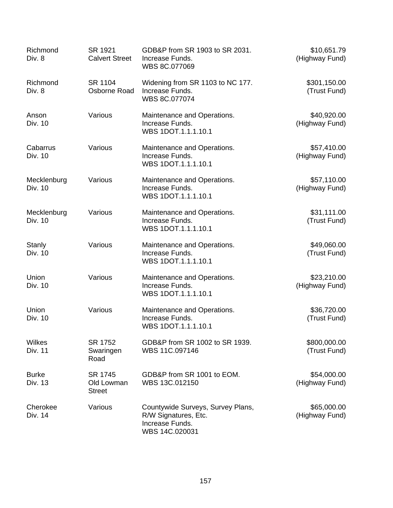| Richmond<br>Div. 8       | SR 1921<br><b>Calvert Street</b>       | GDB&P from SR 1903 to SR 2031.<br>Increase Funds.<br>WBS 8C.077069                             | \$10,651.79<br>(Highway Fund) |
|--------------------------|----------------------------------------|------------------------------------------------------------------------------------------------|-------------------------------|
| Richmond<br>Div. 8       | SR 1104<br>Osborne Road                | Widening from SR 1103 to NC 177.<br>Increase Funds.<br>WBS 8C.077074                           | \$301,150.00<br>(Trust Fund)  |
| Anson<br>Div. 10         | Various                                | Maintenance and Operations.<br>Increase Funds.<br>WBS 1DOT.1.1.1.10.1                          | \$40,920.00<br>(Highway Fund) |
| Cabarrus<br>Div. 10      | Various                                | Maintenance and Operations.<br>Increase Funds.<br>WBS 1DOT.1.1.1.10.1                          | \$57,410.00<br>(Highway Fund) |
| Mecklenburg<br>Div. 10   | Various                                | Maintenance and Operations.<br>Increase Funds.<br>WBS 1DOT.1.1.1.10.1                          | \$57,110.00<br>(Highway Fund) |
| Mecklenburg<br>Div. 10   | Various                                | Maintenance and Operations.<br>Increase Funds.<br>WBS 1DOT.1.1.1.10.1                          | \$31,111.00<br>(Trust Fund)   |
| <b>Stanly</b><br>Div. 10 | Various                                | Maintenance and Operations.<br>Increase Funds.<br>WBS 1DOT.1.1.1.10.1                          | \$49,060.00<br>(Trust Fund)   |
| Union<br>Div. 10         | Various                                | Maintenance and Operations.<br>Increase Funds.<br>WBS 1DOT.1.1.1.10.1                          | \$23,210.00<br>(Highway Fund) |
| Union<br>Div. 10         | Various                                | Maintenance and Operations.<br>Increase Funds.<br>WBS 1DOT.1.1.1.10.1                          | \$36,720.00<br>(Trust Fund)   |
| Wilkes<br><b>Div. 11</b> | SR 1752<br>Swaringen<br>Road           | GDB&P from SR 1002 to SR 1939.<br>WBS 11C.097146                                               | \$800,000.00<br>(Trust Fund)  |
| <b>Burke</b><br>Div. 13  | SR 1745<br>Old Lowman<br><b>Street</b> | GDB&P from SR 1001 to EOM.<br>WBS 13C.012150                                                   | \$54,000.00<br>(Highway Fund) |
| Cherokee<br>Div. 14      | Various                                | Countywide Surveys, Survey Plans,<br>R/W Signatures, Etc.<br>Increase Funds.<br>WBS 14C.020031 | \$65,000.00<br>(Highway Fund) |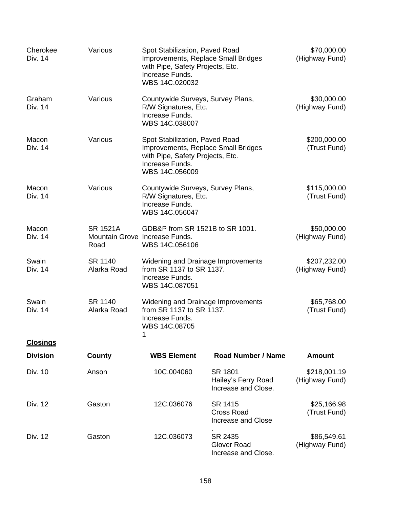| Cherokee<br>Div. 14 | Various                 | Spot Stabilization, Paved Road<br>Improvements, Replace Small Bridges<br>with Pipe, Safety Projects, Etc.<br>Increase Funds.<br>WBS 14C.020032 |                                                           | \$70,000.00<br>(Highway Fund)  |
|---------------------|-------------------------|------------------------------------------------------------------------------------------------------------------------------------------------|-----------------------------------------------------------|--------------------------------|
| Graham<br>Div. 14   | Various                 | Countywide Surveys, Survey Plans,<br>R/W Signatures, Etc.<br>Increase Funds.<br>WBS 14C.038007                                                 |                                                           | \$30,000.00<br>(Highway Fund)  |
| Macon<br>Div. 14    | Various                 | Spot Stabilization, Paved Road<br>Improvements, Replace Small Bridges<br>with Pipe, Safety Projects, Etc.<br>Increase Funds.<br>WBS 14C.056009 |                                                           | \$200,000.00<br>(Trust Fund)   |
| Macon<br>Div. 14    | Various                 | Countywide Surveys, Survey Plans,<br>R/W Signatures, Etc.<br>Increase Funds.<br>WBS 14C.056047                                                 |                                                           | \$115,000.00<br>(Trust Fund)   |
| Macon<br>Div. 14    | <b>SR 1521A</b><br>Road | GDB&P from SR 1521B to SR 1001.<br>Mountain Grove Increase Funds.<br>WBS 14C.056106                                                            |                                                           | \$50,000.00<br>(Highway Fund)  |
| Swain<br>Div. 14    | SR 1140<br>Alarka Road  | Widening and Drainage Improvements<br>from SR 1137 to SR 1137.<br>Increase Funds.<br>WBS 14C.087051                                            |                                                           | \$207,232.00<br>(Highway Fund) |
| Swain<br>Div. 14    | SR 1140<br>Alarka Road  | Widening and Drainage Improvements<br>from SR 1137 to SR 1137.<br>Increase Funds.<br>WBS 14C.08705<br>1                                        |                                                           | \$65,768.00<br>(Trust Fund)    |
| <b>Closings</b>     |                         |                                                                                                                                                |                                                           |                                |
| <b>Division</b>     | County                  | <b>WBS Element</b>                                                                                                                             | <b>Road Number / Name</b>                                 | <b>Amount</b>                  |
| Div. 10             | Anson                   | 10C.004060                                                                                                                                     | SR 1801<br>Hailey's Ferry Road<br>Increase and Close.     | \$218,001.19<br>(Highway Fund) |
| Div. 12             | Gaston                  | 12C.036076                                                                                                                                     | SR 1415<br><b>Cross Road</b><br><b>Increase and Close</b> | \$25,166.98<br>(Trust Fund)    |
| Div. 12             | Gaston                  | 12C.036073                                                                                                                                     | SR 2435<br><b>Glover Road</b><br>Increase and Close.      | \$86,549.61<br>(Highway Fund)  |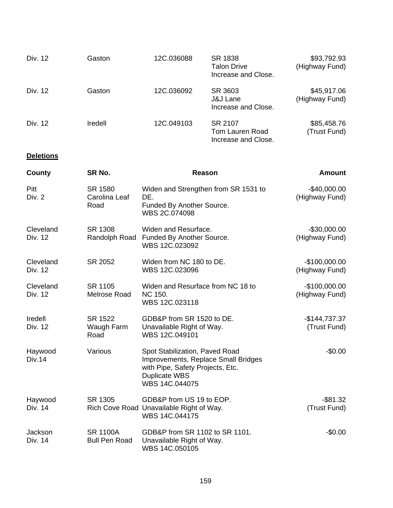| Div. 12 | Gaston  | 12C.036088 | SR 1838<br><b>Talon Drive</b><br>Increase and Close.  | \$93,792.93<br>(Highway Fund) |
|---------|---------|------------|-------------------------------------------------------|-------------------------------|
| Div. 12 | Gaston  | 12C.036092 | SR 3603<br><b>J&amp;J Lane</b><br>Increase and Close. | \$45,917.06<br>(Highway Fund) |
| Div. 12 | Iredell | 12C.049103 | SR 2107<br>Tom Lauren Road<br>Increase and Close.     | \$85,458.76<br>(Trust Fund)   |

# **Deletions**

| County               | SR No.                                  | Reason                                                                                                                                              | <b>Amount</b>                    |
|----------------------|-----------------------------------------|-----------------------------------------------------------------------------------------------------------------------------------------------------|----------------------------------|
| Pitt<br>Div. 2       | SR 1580<br>Carolina Leaf<br>Road        | Widen and Strengthen from SR 1531 to<br>DE.<br>Funded By Another Source.<br>WBS 2C.074098                                                           | $-$40,000.00$<br>(Highway Fund)  |
| Cleveland<br>Div. 12 | SR 1308                                 | Widen and Resurface.<br>Randolph Road Funded By Another Source.<br>WBS 12C.023092                                                                   | $-$30,000.00$<br>(Highway Fund)  |
| Cleveland<br>Div. 12 | SR 2052                                 | Widen from NC 180 to DE.<br>WBS 12C.023096                                                                                                          | $-$100,000.00$<br>(Highway Fund) |
| Cleveland<br>Div. 12 | SR 1105<br>Melrose Road                 | Widen and Resurface from NC 18 to<br><b>NC 150.</b><br>WBS 12C.023118                                                                               | $-$100,000.00$<br>(Highway Fund) |
| Iredell<br>Div. 12   | SR 1522<br>Waugh Farm<br>Road           | GDB&P from SR 1520 to DE.<br>Unavailable Right of Way.<br>WBS 12C.049101                                                                            | $-$144,737.37$<br>(Trust Fund)   |
| Haywood<br>Div.14    | Various                                 | Spot Stabilization, Paved Road<br>Improvements, Replace Small Bridges<br>with Pipe, Safety Projects, Etc.<br><b>Duplicate WBS</b><br>WBS 14C.044075 | $-$0.00$                         |
| Haywood<br>Div. 14   | SR 1305                                 | GDB&P from US 19 to EOP.<br>Rich Cove Road Unavailable Right of Way.<br>WBS 14C.044175                                                              | $-$ \$81.32<br>(Trust Fund)      |
| Jackson<br>Div. 14   | <b>SR 1100A</b><br><b>Bull Pen Road</b> | GDB&P from SR 1102 to SR 1101.<br>Unavailable Right of Way.<br>WBS 14C.050105                                                                       | $-$0.00$                         |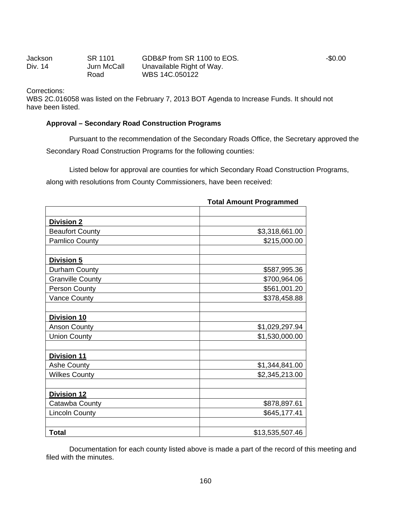Jackson Div. 14 SR 1101 Jurn McCall Road GDB&P from SR 1100 to EOS. Unavailable Right of Way. WBS 14C.050122 -\$0.00

Corrections:

WBS 2C.016058 was listed on the February 7, 2013 BOT Agenda to Increase Funds. It should not have been listed.

#### **Approval – Secondary Road Construction Programs**

 Pursuant to the recommendation of the Secondary Roads Office, the Secretary approved the Secondary Road Construction Programs for the following counties:

Listed below for approval are counties for which Secondary Road Construction Programs, along with resolutions from County Commissioners, have been received:

|                         | <b>Total Amount Programmed</b> |
|-------------------------|--------------------------------|
|                         |                                |
| <b>Division 2</b>       |                                |
| <b>Beaufort County</b>  | \$3,318,661.00                 |
| <b>Pamlico County</b>   | \$215,000.00                   |
| <b>Division 5</b>       |                                |
| Durham County           | \$587,995.36                   |
| <b>Granville County</b> | \$700,964.06                   |
| <b>Person County</b>    | \$561,001.20                   |
| Vance County            | \$378,458.88                   |
| <b>Division 10</b>      |                                |
| <b>Anson County</b>     | \$1,029,297.94                 |
| <b>Union County</b>     | \$1,530,000.00                 |
| <b>Division 11</b>      |                                |
| <b>Ashe County</b>      | \$1,344,841.00                 |
| <b>Wilkes County</b>    | \$2,345,213.00                 |
| <b>Division 12</b>      |                                |
| Catawba County          | \$878,897.61                   |
| <b>Lincoln County</b>   | \$645,177.41                   |
| Total                   | \$13,535,507.46                |

Documentation for each county listed above is made a part of the record of this meeting and filed with the minutes.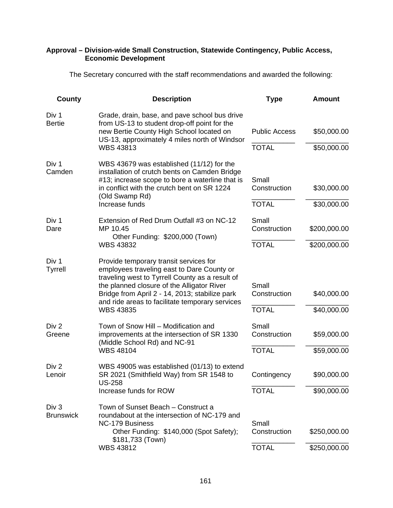# **Approval – Division-wide Small Construction, Statewide Contingency, Public Access, Economic Development**

The Secretary concurred with the staff recommendations and awarded the following:

| County                     | <b>Description</b>                                                                                                                                                                                                                                                                                             | <b>Type</b>                           | <b>Amount</b>                |
|----------------------------|----------------------------------------------------------------------------------------------------------------------------------------------------------------------------------------------------------------------------------------------------------------------------------------------------------------|---------------------------------------|------------------------------|
| Div 1<br><b>Bertie</b>     | Grade, drain, base, and pave school bus drive<br>from US-13 to student drop-off point for the<br>new Bertie County High School located on<br>US-13, approximately 4 miles north of Windsor<br><b>WBS 43813</b>                                                                                                 | <b>Public Access</b><br><b>TOTAL</b>  | \$50,000.00<br>\$50,000.00   |
| Div 1<br>Camden            | WBS 43679 was established (11/12) for the<br>installation of crutch bents on Camden Bridge<br>#13; increase scope to bore a waterline that is<br>in conflict with the crutch bent on SR 1224<br>(Old Swamp Rd)<br>Increase funds                                                                               | Small<br>Construction<br><b>TOTAL</b> | \$30,000.00<br>\$30,000.00   |
| Div 1<br>Dare              | Extension of Red Drum Outfall #3 on NC-12<br>MP 10.45<br>Other Funding: \$200,000 (Town)<br><b>WBS 43832</b>                                                                                                                                                                                                   | Small<br>Construction<br><b>TOTAL</b> | \$200,000.00<br>\$200,000.00 |
| Div 1<br><b>Tyrrell</b>    | Provide temporary transit services for<br>employees traveling east to Dare County or<br>traveling west to Tyrrell County as a result of<br>the planned closure of the Alligator River<br>Bridge from April 2 - 14, 2013; stabilize park<br>and ride areas to facilitate temporary services<br><b>WBS 43835</b> | Small<br>Construction<br><b>TOTAL</b> | \$40,000.00<br>\$40,000.00   |
| Div <sub>2</sub><br>Greene | Town of Snow Hill - Modification and<br>improvements at the intersection of SR 1330<br>(Middle School Rd) and NC-91<br><b>WBS 48104</b>                                                                                                                                                                        | Small<br>Construction<br><b>TOTAL</b> | \$59,000.00<br>\$59,000.00   |
| Div 2<br>Lenoir            | WBS 49005 was established (01/13) to extend<br>SR 2021 (Smithfield Way) from SR 1548 to<br>US-258<br>Increase funds for ROW                                                                                                                                                                                    | Contingency<br><b>TOTAL</b>           | \$90,000.00<br>\$90,000.00   |
| Div 3<br><b>Brunswick</b>  | Town of Sunset Beach – Construct a<br>roundabout at the intersection of NC-179 and<br><b>NC-179 Business</b><br>Other Funding: \$140,000 (Spot Safety);<br>\$181,733 (Town)<br><b>WBS 43812</b>                                                                                                                | Small<br>Construction<br><b>TOTAL</b> | \$250,000.00<br>\$250,000.00 |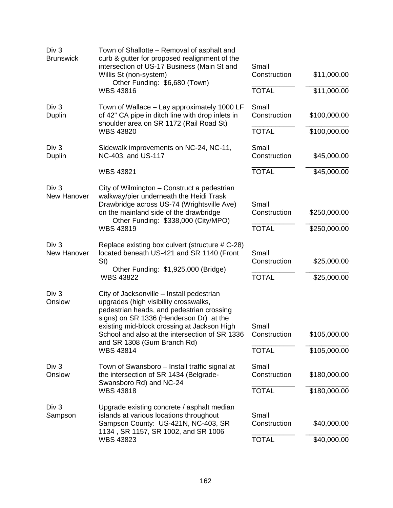| Div <sub>3</sub><br><b>Brunswick</b>   | Town of Shallotte – Removal of asphalt and<br>curb & gutter for proposed realignment of the<br>intersection of US-17 Business (Main St and<br>Willis St (non-system)<br>Other Funding: \$6,680 (Town)<br><b>WBS 43816</b>                                                                                                      | Small<br>Construction<br><b>TOTAL</b> | \$11,000.00<br>\$11,000.00   |
|----------------------------------------|--------------------------------------------------------------------------------------------------------------------------------------------------------------------------------------------------------------------------------------------------------------------------------------------------------------------------------|---------------------------------------|------------------------------|
| Div <sub>3</sub><br>Duplin             | Town of Wallace - Lay approximately 1000 LF<br>of 42" CA pipe in ditch line with drop inlets in<br>shoulder area on SR 1172 (Rail Road St)                                                                                                                                                                                     | Small<br>Construction                 | \$100,000.00                 |
|                                        | <b>WBS 43820</b>                                                                                                                                                                                                                                                                                                               | <b>TOTAL</b>                          | \$100,000.00                 |
| Div 3<br>Duplin                        | Sidewalk improvements on NC-24, NC-11,<br>NC-403, and US-117                                                                                                                                                                                                                                                                   | Small<br>Construction                 | \$45,000.00                  |
|                                        | <b>WBS 43821</b>                                                                                                                                                                                                                                                                                                               | <b>TOTAL</b>                          | \$45,000.00                  |
| Div <sub>3</sub><br>New Hanover        | City of Wilmington – Construct a pedestrian<br>walkway/pier underneath the Heidi Trask<br>Drawbridge across US-74 (Wrightsville Ave)<br>on the mainland side of the drawbridge<br>Other Funding: \$338,000 (City/MPO)                                                                                                          | Small<br>Construction                 | \$250,000.00                 |
|                                        | <b>WBS 43819</b>                                                                                                                                                                                                                                                                                                               | <b>TOTAL</b>                          | \$250,000.00                 |
| Div <sub>3</sub><br><b>New Hanover</b> | Replace existing box culvert (structure # C-28)<br>located beneath US-421 and SR 1140 (Front<br>St)<br>Other Funding: \$1,925,000 (Bridge)<br><b>WBS 43822</b>                                                                                                                                                                 | Small<br>Construction<br><b>TOTAL</b> | \$25,000.00<br>\$25,000.00   |
| Div <sub>3</sub><br>Onslow             | City of Jacksonville - Install pedestrian<br>upgrades (high visibility crosswalks,<br>pedestrian heads, and pedestrian crossing<br>signs) on SR 1336 (Henderson Dr) at the<br>existing mid-block crossing at Jackson High<br>School and also at the intersection of SR 1336<br>and SR 1308 (Gum Branch Rd)<br><b>WBS 43814</b> | Small<br>Construction<br><b>TOTAL</b> | \$105,000.00<br>\$105,000.00 |
| Div 3<br>Onslow                        | Town of Swansboro – Install traffic signal at<br>the intersection of SR 1434 (Belgrade-<br>Swansboro Rd) and NC-24<br><b>WBS 43818</b>                                                                                                                                                                                         | Small<br>Construction<br><b>TOTAL</b> | \$180,000.00<br>\$180,000.00 |
| Div 3<br>Sampson                       | Upgrade existing concrete / asphalt median<br>islands at various locations throughout<br>Sampson County: US-421N, NC-403, SR<br>1134, SR 1157, SR 1002, and SR 1006<br><b>WBS 43823</b>                                                                                                                                        | Small<br>Construction<br><b>TOTAL</b> | \$40,000.00<br>\$40,000.00   |
|                                        |                                                                                                                                                                                                                                                                                                                                |                                       |                              |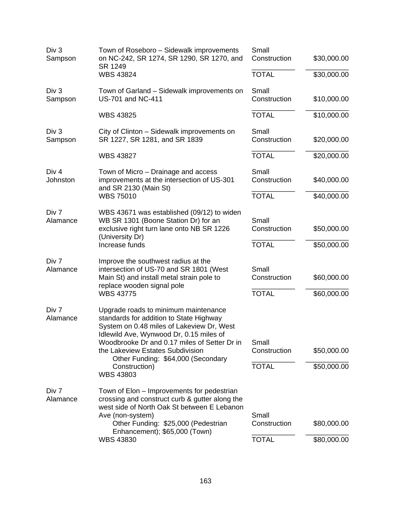| Div 3<br>Sampson             | Town of Roseboro – Sidewalk improvements<br>on NC-242, SR 1274, SR 1290, SR 1270, and<br>SR 1249                                                                                                                                                                                                                                       | Small<br>Construction                 | \$30,000.00                |
|------------------------------|----------------------------------------------------------------------------------------------------------------------------------------------------------------------------------------------------------------------------------------------------------------------------------------------------------------------------------------|---------------------------------------|----------------------------|
|                              | <b>WBS 43824</b>                                                                                                                                                                                                                                                                                                                       | <b>TOTAL</b>                          | \$30,000.00                |
| Div <sub>3</sub><br>Sampson  | Town of Garland – Sidewalk improvements on<br><b>US-701 and NC-411</b>                                                                                                                                                                                                                                                                 | Small<br>Construction                 | \$10,000.00                |
|                              | <b>WBS 43825</b>                                                                                                                                                                                                                                                                                                                       | <b>TOTAL</b>                          | \$10,000.00                |
| Div <sub>3</sub><br>Sampson  | City of Clinton - Sidewalk improvements on<br>SR 1227, SR 1281, and SR 1839                                                                                                                                                                                                                                                            | Small<br>Construction                 | \$20,000.00                |
|                              | <b>WBS 43827</b>                                                                                                                                                                                                                                                                                                                       | <b>TOTAL</b>                          | \$20,000.00                |
| Div <sub>4</sub><br>Johnston | Town of Micro – Drainage and access<br>improvements at the intersection of US-301<br>and SR 2130 (Main St)                                                                                                                                                                                                                             | Small<br>Construction                 | \$40,000.00                |
|                              | <b>WBS 75010</b>                                                                                                                                                                                                                                                                                                                       | <b>TOTAL</b>                          | \$40,000.00                |
| Div 7<br>Alamance            | WBS 43671 was established (09/12) to widen<br>WB SR 1301 (Boone Station Dr) for an<br>exclusive right turn lane onto NB SR 1226<br>(University Dr)                                                                                                                                                                                     | Small<br>Construction                 | \$50,000.00                |
|                              | Increase funds                                                                                                                                                                                                                                                                                                                         | <b>TOTAL</b>                          | \$50,000.00                |
| Div 7<br>Alamance            | Improve the southwest radius at the<br>intersection of US-70 and SR 1801 (West<br>Main St) and install metal strain pole to<br>replace wooden signal pole<br><b>WBS 43775</b>                                                                                                                                                          | Small<br>Construction<br><b>TOTAL</b> | \$60,000.00<br>\$60,000.00 |
| Div 7<br>Alamance            | Upgrade roads to minimum maintenance<br>standards for addition to State Highway<br>System on 0.48 miles of Lakeview Dr, West<br>Idlewild Ave, Wynwood Dr, 0.15 miles of<br>Woodbrooke Dr and 0.17 miles of Setter Dr in<br>the Lakeview Estates Subdivision<br>Other Funding: \$64,000 (Secondary<br>Construction)<br><b>WBS 43803</b> | Small<br>Construction<br><b>TOTAL</b> | \$50,000.00<br>\$50,000.00 |
| Div 7<br>Alamance            | Town of Elon – Improvements for pedestrian<br>crossing and construct curb & gutter along the<br>west side of North Oak St between E Lebanon<br>Ave (non-system)<br>Other Funding: \$25,000 (Pedestrian<br>Enhancement); \$65,000 (Town)<br><b>WBS 43830</b>                                                                            | Small<br>Construction<br><b>TOTAL</b> | \$80,000.00<br>\$80,000.00 |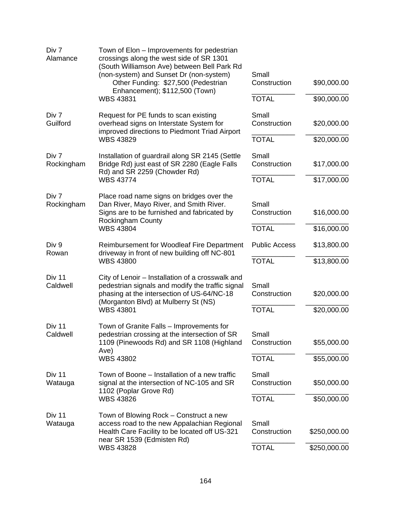| Div 7<br>Alamance   | Town of Elon – Improvements for pedestrian<br>crossings along the west side of SR 1301<br>(South Williamson Ave) between Bell Park Rd<br>(non-system) and Sunset Dr (non-system)<br>Other Funding: \$27,500 (Pedestrian<br>Enhancement); \$112,500 (Town) | Small<br>Construction                 | \$90,000.00                |
|---------------------|-----------------------------------------------------------------------------------------------------------------------------------------------------------------------------------------------------------------------------------------------------------|---------------------------------------|----------------------------|
|                     | <b>WBS 43831</b>                                                                                                                                                                                                                                          | <b>TOTAL</b>                          | \$90,000.00                |
| Div 7<br>Guilford   | Request for PE funds to scan existing<br>overhead signs on Interstate System for<br>improved directions to Piedmont Triad Airport                                                                                                                         | Small<br>Construction                 | \$20,000.00                |
|                     | <b>WBS 43829</b>                                                                                                                                                                                                                                          | <b>TOTAL</b>                          | \$20,000.00                |
| Div 7<br>Rockingham | Installation of guardrail along SR 2145 (Settle<br>Bridge Rd) just east of SR 2280 (Eagle Falls<br>Rd) and SR 2259 (Chowder Rd)                                                                                                                           | Small<br>Construction                 | \$17,000.00                |
|                     | <b>WBS 43774</b>                                                                                                                                                                                                                                          | <b>TOTAL</b>                          | \$17,000.00                |
| Div 7<br>Rockingham | Place road name signs on bridges over the<br>Dan River, Mayo River, and Smith River.<br>Signs are to be furnished and fabricated by<br><b>Rockingham County</b><br><b>WBS 43804</b>                                                                       | Small<br>Construction<br><b>TOTAL</b> | \$16,000.00<br>\$16,000.00 |
|                     |                                                                                                                                                                                                                                                           |                                       |                            |
| Div 9<br>Rowan      | Reimbursement for Woodleaf Fire Department<br>driveway in front of new building off NC-801                                                                                                                                                                | <b>Public Access</b>                  | \$13,800.00                |
|                     | <b>WBS 43800</b>                                                                                                                                                                                                                                          | <b>TOTAL</b>                          | \$13,800.00                |
| Div 11<br>Caldwell  | City of Lenoir - Installation of a crosswalk and<br>pedestrian signals and modify the traffic signal<br>phasing at the intersection of US-64/NC-18<br>(Morganton Blvd) at Mulberry St (NS)<br><b>WBS 43801</b>                                            | Small<br>Construction<br><b>TOTAL</b> | \$20,000.00<br>\$20,000.00 |
| Div 11<br>Caldwell  | Town of Granite Falls - Improvements for<br>pedestrian crossing at the intersection of SR<br>1109 (Pinewoods Rd) and SR 1108 (Highland<br>Ave)<br><b>WBS 43802</b>                                                                                        | Small<br>Construction<br><b>TOTAL</b> | \$55,000.00<br>\$55,000.00 |
| Div 11<br>Watauga   | Town of Boone – Installation of a new traffic<br>signal at the intersection of NC-105 and SR<br>1102 (Poplar Grove Rd)<br><b>WBS 43826</b>                                                                                                                | Small<br>Construction<br><b>TOTAL</b> | \$50,000.00<br>\$50,000.00 |
|                     |                                                                                                                                                                                                                                                           |                                       |                            |
| Div 11<br>Watauga   | Town of Blowing Rock – Construct a new<br>access road to the new Appalachian Regional<br>Health Care Facility to be located off US-321<br>near SR 1539 (Edmisten Rd)                                                                                      | Small<br>Construction                 | \$250,000.00               |
|                     | <b>WBS 43828</b>                                                                                                                                                                                                                                          | <b>TOTAL</b>                          | \$250,000.00               |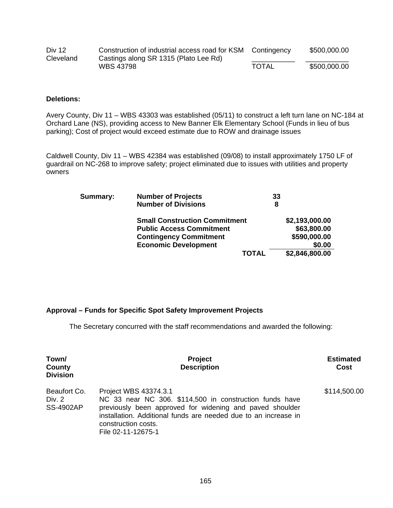| <b>Div 12</b> | Construction of industrial access road for KSM Contingency |              | \$500,000.00 |
|---------------|------------------------------------------------------------|--------------|--------------|
| Cleveland     | Castings along SR 1315 (Plato Lee Rd)                      |              |              |
|               | <b>WBS 43798</b>                                           | <b>TOTAL</b> | \$500,000.00 |

### **Deletions:**

Avery County, Div 11 – WBS 43303 was established (05/11) to construct a left turn lane on NC-184 at Orchard Lane (NS), providing access to New Banner Elk Elementary School (Funds in lieu of bus parking); Cost of project would exceed estimate due to ROW and drainage issues

Caldwell County, Div 11 – WBS 42384 was established (09/08) to install approximately 1750 LF of guardrail on NC-268 to improve safety; project eliminated due to issues with utilities and property owners

| Summary: | <b>Number of Projects</b>            | 33             |
|----------|--------------------------------------|----------------|
|          | <b>Number of Divisions</b>           | 8              |
|          | <b>Small Construction Commitment</b> | \$2,193,000.00 |
|          | <b>Public Access Commitment</b>      | \$63,800.00    |
|          | <b>Contingency Commitment</b>        | \$590,000.00   |
|          | <b>Economic Development</b>          | \$0.00         |
|          | <b>TOTAL</b>                         | \$2,846,800.00 |

# **Approval – Funds for Specific Spot Safety Improvement Projects**

The Secretary concurred with the staff recommendations and awarded the following:

| Town/<br>County<br><b>Division</b>         | <b>Project</b><br><b>Description</b>                                                                                                                                                                                                                         | <b>Estimated</b><br>Cost |
|--------------------------------------------|--------------------------------------------------------------------------------------------------------------------------------------------------------------------------------------------------------------------------------------------------------------|--------------------------|
| Beaufort Co.<br>Div. 2<br><b>SS-4902AP</b> | Project WBS 43374.3.1<br>NC 33 near NC 306. \$114,500 in construction funds have<br>previously been approved for widening and paved shoulder<br>installation. Additional funds are needed due to an increase in<br>construction costs.<br>File 02-11-12675-1 | \$114,500.00             |